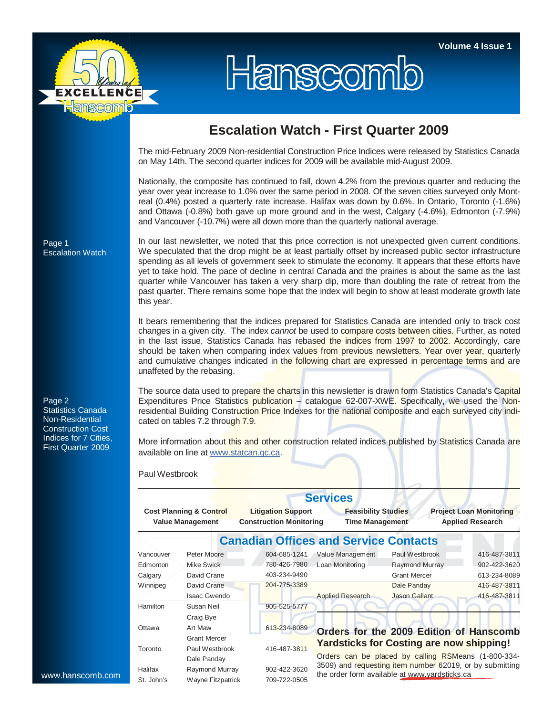

## Hanscomb

## **Escalation Watch - First Quarter 2009**

The mid-February 2009 Non-residential Construction Price Indices were released by Statistics Canada on May 14th. The second quarter indices for 2009 will be available mid-August 2009.

Nationally, the composite has continued to fall, down 4.2% from the previous quarter and reducing the year over year increase to 1.0% over the same period in 2008. Of the seven cities surveyed only Montreal (0.4%) posted a quarterly rate increase. Halifax was down by 0.6%. In Ontario, Toronto (-1.6%) and Ottawa (-0.8%) both gave up more ground and in the west, Calgary (-4.6%), Edmonton (-7.9%) and Vancouver (-10.7%) were all down more than the quarterly national average.

Page 1 Escalation Watch

Page 2 Statistics Canada Non-Residential Construction Cost Indices for 7 Cities, First Quarter 2009

In our last newsletter, we noted that this price correction is not unexpected given current conditions. We speculated that the drop might be at least partially offset by increased public sector infrastructure spending as all levels of government seek to stimulate the economy. It appears that these efforts have yet to take hold. The pace of decline in central Canada and the prairies is about the same as the last quarter while Vancouver has taken a very sharp dip, more than doubling the rate of retreat from the past quarter. There remains some hope that the index will begin to show at least moderate growth late this year.

It bears remembering that the indices prepared for Statistics Canada are intended only to track cost changes in a given city. The index *cannot* be used to compare costs between cities. Further, as noted in the last issue, Statistics Canada has rebased the indices from 1997 to 2002. Accordingly, care should be taken when comparing index values from previous newsletters. Year over year, quarterly and cumulative changes indicated in the following chart are expressed in percentage terms and are unaffeted by the rebasing.

The source data used to prepare the charts in this newsletter is drawn form Statistics Canada's Capital Expenditures Price Statistics publication – catalogue 62-007-XWE. Specifically, we used the Nonresidential Building Construction Price Indexes for the national composite and each surveyed city indicated on tables 7.2 through 7.9.

More information about this and other construction related indices published by Statistics Canada are available on line at www.statcan.gc.ca.

Paul Westbrook

|                                                               |                     |                                                             | <b>Services</b>                                                                                                 |                                                 |                                                           |  |  |  |  |
|---------------------------------------------------------------|---------------------|-------------------------------------------------------------|-----------------------------------------------------------------------------------------------------------------|-------------------------------------------------|-----------------------------------------------------------|--|--|--|--|
| <b>Cost Planning &amp; Control</b><br><b>Value Management</b> |                     | <b>Litigation Support</b><br><b>Construction Monitoring</b> | <b>Feasibility Studies</b><br><b>Time Management</b>                                                            |                                                 | <b>Project Loan Monitoring</b><br><b>Applied Research</b> |  |  |  |  |
|                                                               |                     | <b>Canadian Offices and Service Contacts</b>                |                                                                                                                 |                                                 |                                                           |  |  |  |  |
| Vancouver                                                     | Peter Moore         | 604-685-1241                                                | Value Management                                                                                                | Paul Westbrook                                  | 416-487-3811                                              |  |  |  |  |
| Edmonton                                                      | <b>Mike Swick</b>   | 780-426-7980                                                | Loan Monitoring                                                                                                 | Raymond Murray                                  | 902-422-3620                                              |  |  |  |  |
| Calgary                                                       | David Crane         | 403-234-9490                                                |                                                                                                                 | <b>Grant Mercer</b>                             | 613-234-8089                                              |  |  |  |  |
| Winnipeg                                                      | David Crane         | 204-775-3389                                                |                                                                                                                 | Dale Panday                                     | 416-487-3811                                              |  |  |  |  |
|                                                               | Isaac Gwendo        |                                                             | <b>Applied Research</b>                                                                                         | Jason Gallant                                   | 416-487-3811                                              |  |  |  |  |
| Hamilton                                                      | Susan Neil          | 905-525-5777                                                |                                                                                                                 |                                                 |                                                           |  |  |  |  |
|                                                               | Craig Bye           |                                                             |                                                                                                                 |                                                 |                                                           |  |  |  |  |
| Ottawa                                                        | Art Maw             | 613-234-8089                                                |                                                                                                                 |                                                 | Orders for the 2009 Edition of Hanscomb                   |  |  |  |  |
|                                                               | <b>Grant Mercer</b> |                                                             |                                                                                                                 | <b>Yardsticks for Costing are now shipping!</b> |                                                           |  |  |  |  |
| Toronto                                                       | Paul Westbrook      | 416-487-3811                                                |                                                                                                                 |                                                 |                                                           |  |  |  |  |
|                                                               | Dale Panday         |                                                             | Orders can be placed by calling RSMeans (1-800-334-<br>3509) and requesting item number 62019, or by submitting |                                                 |                                                           |  |  |  |  |
| Halifax                                                       | Raymond Murray      | 902-422-3620                                                |                                                                                                                 | the order form available at www.yardsticks.ca   |                                                           |  |  |  |  |
| St. John's                                                    | Wayne Fitzpatrick   | 709-722-0505                                                |                                                                                                                 |                                                 |                                                           |  |  |  |  |